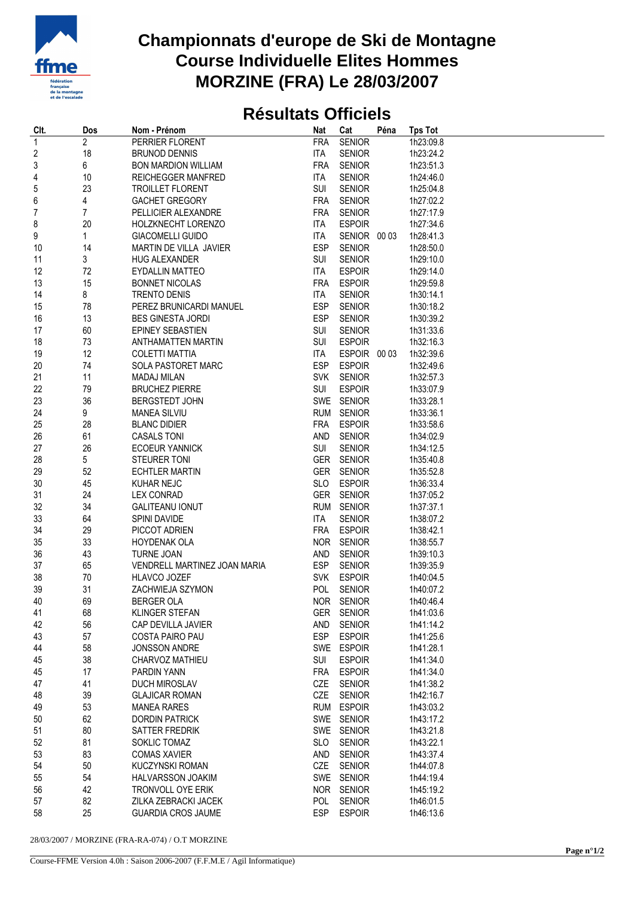

## **Championnats d'europe de Ski de Montagne Course Individuelle Elites Hommes MORZINE (FRA) Le 28/03/2007**

## **Résultats Officiels**

| CIt.                    | Dos            | Nom - Prénom                                      | <b>Nat</b>        | Cat                            | Péna | <b>Tps Tot</b>         |
|-------------------------|----------------|---------------------------------------------------|-------------------|--------------------------------|------|------------------------|
| $\overline{1}$          | $\overline{2}$ | PERRIER FLORENT                                   | <b>FRA</b>        | <b>SENIOR</b>                  |      | 1h23:09.8              |
| $\overline{\mathbf{c}}$ | 18             | <b>BRUNOD DENNIS</b>                              | ITA               | <b>SENIOR</b>                  |      | 1h23:24.2              |
| 3                       | 6              | <b>BON MARDION WILLIAM</b>                        | <b>FRA</b>        | <b>SENIOR</b>                  |      | 1h23:51.3              |
| 4                       | 10             | <b>REICHEGGER MANFRED</b>                         | <b>ITA</b>        | <b>SENIOR</b>                  |      | 1h24:46.0              |
| 5                       | 23             | <b>TROILLET FLORENT</b>                           | SUI               | <b>SENIOR</b>                  |      | 1h25:04.8              |
| 6                       | 4              | GACHET GREGORY                                    | <b>FRA</b>        | <b>SENIOR</b>                  |      | 1h27:02.2              |
| 7                       | 7              | PELLICIER ALEXANDRE                               | <b>FRA</b>        | <b>SENIOR</b>                  |      | 1h27:17.9              |
| 8                       | 20             | HOLZKNECHT LORENZO                                | ITA               | <b>ESPOIR</b>                  |      | 1h27:34.6              |
| 9                       | 1              | <b>GIACOMELLI GUIDO</b>                           | ITA               | SENIOR 00 03                   |      | 1h28:41.3              |
| 10                      | 14             | MARTIN DE VILLA JAVIER                            | <b>ESP</b>        | <b>SENIOR</b>                  |      | 1h28:50.0              |
| 11                      | 3              | <b>HUG ALEXANDER</b>                              | <b>SUI</b>        | <b>SENIOR</b>                  |      | 1h29:10.0              |
| 12                      | 72             | <b>EYDALLIN MATTEO</b>                            | ITA               | <b>ESPOIR</b>                  |      | 1h29:14.0              |
| 13                      | 15             | <b>BONNET NICOLAS</b>                             | <b>FRA</b>        | <b>ESPOIR</b>                  |      | 1h29:59.8              |
| 14                      | 8              | <b>TRENTO DENIS</b>                               | <b>ITA</b>        | <b>SENIOR</b>                  |      | 1h30:14.1              |
| 15                      | 78             | PEREZ BRUNICARDI MANUEL                           | <b>ESP</b>        | <b>SENIOR</b>                  |      | 1h30:18.2              |
| 16                      | 13             | <b>BES GINESTA JORDI</b>                          | ESP               | <b>SENIOR</b>                  |      | 1h30:39.2              |
| 17                      | 60             | EPINEY SEBASTIEN                                  | SUI               | <b>SENIOR</b>                  |      | 1h31:33.6              |
| 18                      | 73             | ANTHAMATTEN MARTIN                                | SUI               | <b>ESPOIR</b>                  |      | 1h32:16.3              |
| 19                      | 12             | <b>COLETTI MATTIA</b>                             | ITA               | ESPOIR 00 03                   |      | 1h32:39.6              |
| 20                      | 74             | SOLA PASTORET MARC                                | <b>ESP</b>        | <b>ESPOIR</b>                  |      | 1h32:49.6              |
| 21                      | 11             | <b>MADAJ MILAN</b>                                | <b>SVK</b>        | <b>SENIOR</b>                  |      | 1h32:57.3              |
| 22                      | 79             | <b>BRUCHEZ PIERRE</b>                             | SUI               | <b>ESPOIR</b>                  |      | 1h33:07.9              |
| 23                      | 36             | BERGSTEDT JOHN                                    |                   | SWE SENIOR                     |      | 1h33:28.1              |
| 24                      | 9              | <b>MANEA SILVIU</b>                               |                   | RUM SENIOR                     |      | 1h33:36.1              |
| 25                      | 28             | <b>BLANC DIDIER</b>                               | <b>FRA</b>        | <b>ESPOIR</b>                  |      | 1h33:58.6              |
| 26                      | 61             | <b>CASALS TONI</b>                                | AND               | <b>SENIOR</b>                  |      | 1h34:02.9              |
| 27                      | 26             | <b>ECOEUR YANNICK</b>                             | SUI               | <b>SENIOR</b>                  |      | 1h34:12.5              |
| 28                      | 5              | <b>STEURER TONI</b>                               |                   | GER SENIOR                     |      | 1h35:40.8              |
| 29                      | 52             | <b>ECHTLER MARTIN</b>                             | GER               | <b>SENIOR</b>                  |      | 1h35:52.8              |
|                         |                |                                                   |                   |                                |      |                        |
| 30                      | 45             | <b>KUHAR NEJC</b>                                 | <b>SLO</b>        | <b>ESPOIR</b>                  |      | 1h36:33.4              |
| 31                      | 24             | <b>LEX CONRAD</b>                                 | <b>GER</b>        | <b>SENIOR</b>                  |      | 1h37:05.2              |
| 32                      | 34             | <b>GALITEANU IONUT</b>                            |                   | RUM SENIOR                     |      | 1h37:37.1              |
| 33                      | 64             | SPINI DAVIDE                                      | <b>ITA</b>        | <b>SENIOR</b>                  |      | 1h38:07.2              |
| 34<br>35                | 29<br>33       | PICCOT ADRIEN<br><b>HOYDENAK OLA</b>              | FRA               | <b>ESPOIR</b><br>NOR SENIOR    |      | 1h38:42.1              |
|                         |                |                                                   |                   |                                |      | 1h38:55.7<br>1h39:10.3 |
| 36<br>37                | 43<br>65       | <b>TURNE JOAN</b><br>VENDRELL MARTINEZ JOAN MARIA | AND<br><b>ESP</b> | <b>SENIOR</b><br><b>SENIOR</b> |      | 1h39:35.9              |
|                         | 70             |                                                   |                   |                                |      | 1h40:04.5              |
| 38                      |                | <b>HLAVCO JOZEF</b>                               |                   | SVK ESPOIR                     |      |                        |
| 39                      | 31             | ZACHWIEJA SZYMON                                  | POL               | <b>SENIOR</b>                  |      | 1h40:07.2              |
| 40                      | 69             | <b>BERGER OLA</b>                                 |                   | NOR SENIOR                     |      | 1h40:46.4              |
| 41                      | 68             | KLINGER STEFAN                                    |                   | GER SENIOR                     |      | 1h41:03.6              |
| 42                      | 56             | CAP DEVILLA JAVIER                                | AND               | <b>SENIOR</b>                  |      | 1h41:14.2              |
| 43                      | 57             | <b>COSTA PAIRO PAU</b>                            | <b>ESP</b>        | <b>ESPOIR</b>                  |      | 1h41:25.6              |
| 44                      | 58             | <b>JONSSON ANDRE</b>                              |                   | SWE ESPOIR                     |      | 1h41:28.1              |
| 45                      | 38             | CHARVOZ MATHIEU                                   | SUI               | <b>ESPOIR</b>                  |      | 1h41:34.0              |
| 45                      | 17             | PARDIN YANN                                       | <b>FRA</b>        | <b>ESPOIR</b>                  |      | 1h41:34.0              |
| 47                      | 41             | DUCH MIROSLAV                                     | CZE               | <b>SENIOR</b>                  |      | 1h41:38.2              |
| 48                      | 39             | <b>GLAJICAR ROMAN</b>                             | CZE               | <b>SENIOR</b>                  |      | 1h42:16.7              |
| 49                      | 53             | <b>MANEA RARES</b>                                |                   | RUM ESPOIR                     |      | 1h43:03.2              |
| 50                      | 62             | <b>DORDIN PATRICK</b>                             |                   | SWE SENIOR                     |      | 1h43:17.2              |
| 51                      | 80             | SATTER FREDRIK                                    |                   | SWE SENIOR                     |      | 1h43:21.8              |
| 52                      | 81             | SOKLIC TOMAZ                                      | <b>SLO</b>        | <b>SENIOR</b>                  |      | 1h43:22.1              |
| 53                      | 83             | <b>COMAS XAVIER</b>                               | AND               | <b>SENIOR</b>                  |      | 1h43:37.4              |
| 54                      | 50             | KUCZYNSKI ROMAN                                   | CZE               | <b>SENIOR</b>                  |      | 1h44:07.8              |
| 55                      | 54             | HALVARSSON JOAKIM                                 |                   | SWE SENIOR                     |      | 1h44:19.4              |
| 56                      | 42             | TRONVOLL OYE ERIK                                 |                   | NOR SENIOR                     |      | 1h45:19.2              |
| 57                      | 82             | ZILKA ZEBRACKI JACEK                              | POL               | <b>SENIOR</b>                  |      | 1h46:01.5              |
| 58                      | 25             | <b>GUARDIA CROS JAUME</b>                         | <b>ESP</b>        | <b>ESPOIR</b>                  |      | 1h46:13.6              |

28/03/2007 / MORZINE (FRA-RA-074) / O.T MORZINE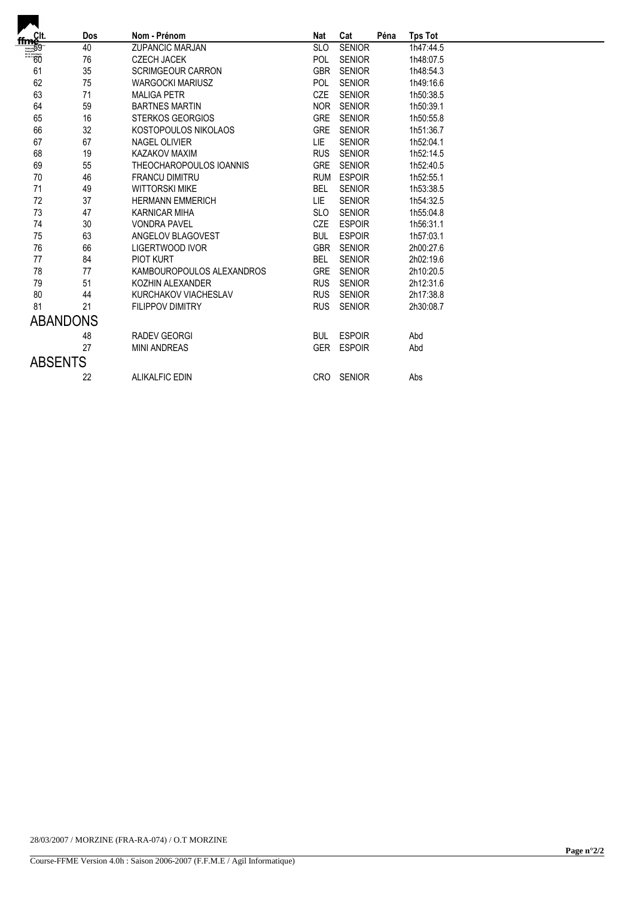|                                         | <b>Dos</b>      | Nom - Prénom              | Nat        | Cat           | Péna | <b>Tps Tot</b> |
|-----------------------------------------|-----------------|---------------------------|------------|---------------|------|----------------|
| $\frac{\frac{ffm}{f/m}}{\frac{50}{60}}$ | 40              | <b>ZUPANCIC MARJAN</b>    | <b>SLO</b> | <b>SENIOR</b> |      | 1h47:44.5      |
|                                         | 76              | <b>CZECH JACEK</b>        | POL        | <b>SENIOR</b> |      | 1h48:07.5      |
| 61                                      | 35              | <b>SCRIMGEOUR CARRON</b>  | <b>GBR</b> | <b>SENIOR</b> |      | 1h48:54.3      |
| 62                                      | 75              | <b>WARGOCKI MARIUSZ</b>   | POL        | <b>SENIOR</b> |      | 1h49:16.6      |
| 63                                      | 71              | <b>MALIGA PETR</b>        | <b>CZE</b> | <b>SENIOR</b> |      | 1h50:38.5      |
| 64                                      | 59              | <b>BARTNES MARTIN</b>     | <b>NOR</b> | <b>SENIOR</b> |      | 1h50:39.1      |
| 65                                      | 16              | <b>STERKOS GEORGIOS</b>   | <b>GRE</b> | <b>SENIOR</b> |      | 1h50:55.8      |
| 66                                      | 32              | KOSTOPOULOS NIKOLAOS      | GRE        | <b>SENIOR</b> |      | 1h51:36.7      |
| 67                                      | 67              | <b>NAGEL OLIVIER</b>      | LIE.       | <b>SENIOR</b> |      | 1h52:04.1      |
| 68                                      | 19              | KAZAKOV MAXIM             | <b>RUS</b> | <b>SENIOR</b> |      | 1h52:14.5      |
| 69                                      | 55              | THEOCHAROPOULOS IOANNIS   | <b>GRE</b> | <b>SENIOR</b> |      | 1h52:40.5      |
| 70                                      | 46              | <b>FRANCU DIMITRU</b>     | <b>RUM</b> | <b>ESPOIR</b> |      | 1h52:55.1      |
| 71                                      | 49              | <b>WITTORSKI MIKE</b>     | <b>BEL</b> | <b>SENIOR</b> |      | 1h53:38.5      |
| 72                                      | 37              | <b>HERMANN EMMERICH</b>   | LIE.       | <b>SENIOR</b> |      | 1h54:32.5      |
| 73                                      | 47              | KARNICAR MIHA             | <b>SLO</b> | <b>SENIOR</b> |      | 1h55:04.8      |
| 74                                      | 30              | <b>VONDRA PAVEL</b>       | CZE        | <b>ESPOIR</b> |      | 1h56:31.1      |
| 75                                      | 63              | ANGELOV BLAGOVEST         | <b>BUL</b> | <b>ESPOIR</b> |      | 1h57:03.1      |
| 76                                      | 66              | <b>LIGERTWOOD IVOR</b>    | <b>GBR</b> | <b>SENIOR</b> |      | 2h00:27.6      |
| 77                                      | 84              | <b>PIOT KURT</b>          | <b>BEL</b> | <b>SENIOR</b> |      | 2h02:19.6      |
| 78                                      | 77              | KAMBOUROPOULOS ALEXANDROS | <b>GRE</b> | <b>SENIOR</b> |      | 2h10:20.5      |
| 79                                      | 51              | KOZHIN ALEXANDER          | <b>RUS</b> | <b>SENIOR</b> |      | 2h12:31.6      |
| 80                                      | 44              | KURCHAKOV VIACHESLAV      | <b>RUS</b> | <b>SENIOR</b> |      | 2h17:38.8      |
| 81                                      | 21              | <b>FILIPPOV DIMITRY</b>   | <b>RUS</b> | <b>SENIOR</b> |      | 2h30:08.7      |
|                                         | <b>ABANDONS</b> |                           |            |               |      |                |
|                                         | 48              | <b>RADEV GEORGI</b>       | <b>BUL</b> | <b>ESPOIR</b> |      | Abd            |
|                                         | 27              | <b>MINI ANDREAS</b>       |            | GER ESPOIR    |      | Abd            |
| <b>ABSENTS</b>                          |                 |                           |            |               |      |                |
|                                         | 22              | <b>ALIKALFIC EDIN</b>     | <b>CRO</b> | <b>SENIOR</b> |      | Abs            |
|                                         |                 |                           |            |               |      |                |

 $\overline{\phantom{a}}$